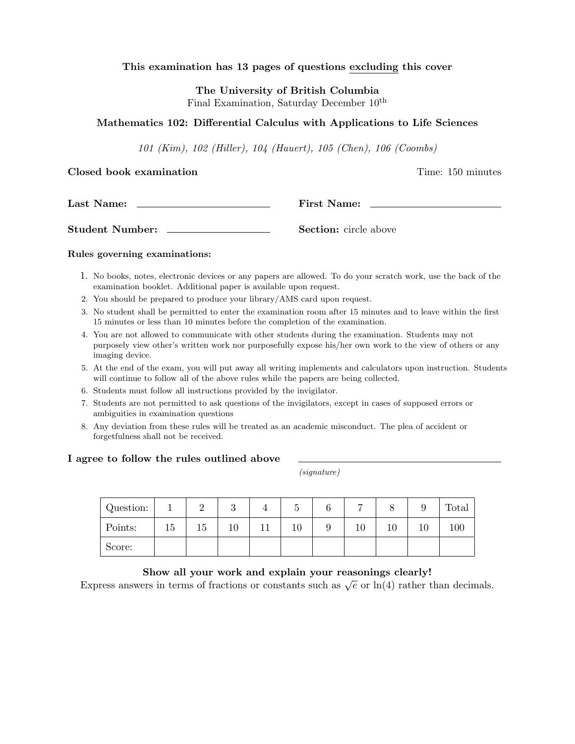### This examination has 13 pages of questions excluding this cover

The University of British Columbia Final Examination, Saturday December  $10^{th}$ 

### Mathematics 102: Differential Calculus with Applications to Life Sciences

101 (Kim), 102 (Hiller), 104 (Hauert), 105 (Chen), 106 (Coombs)

#### Closed book examination **Time:** 150 minutes

| Last Name: | <b>First Name:</b> |  |
|------------|--------------------|--|
|            |                    |  |

Student Number: Section: circle above

#### Rules governing examinations:

- 1. No books, notes, electronic devices or any papers are allowed. To do your scratch work, use the back of the examination booklet. Additional paper is available upon request.
- 2. You should be prepared to produce your library/AMS card upon request.
- 3. No student shall be permitted to enter the examination room after 15 minutes and to leave within the first 15 minutes or less than 10 minutes before the completion of the examination.
- 4. You are not allowed to communicate with other students during the examination. Students may not purposely view other's written work nor purposefully expose his/her own work to the view of others or any imaging device.
- 5. At the end of the exam, you will put away all writing implements and calculators upon instruction. Students will continue to follow all of the above rules while the papers are being collected.
- 6. Students must follow all instructions provided by the invigilator.
- 7. Students are not permitted to ask questions of the invigilators, except in cases of supposed errors or ambiguities in examination questions
- 8. Any deviation from these rules will be treated as an academic misconduct. The plea of accident or forgetfulness shall not be received.

#### I agree to follow the rules outlined above

(signature)

| Question: |    | ↵  | $\Omega$<br>◡ | ∪ | 6 | −      |    | ◡  | Total |
|-----------|----|----|---------------|---|---|--------|----|----|-------|
| Points:   | 15 | 15 | 10            |   | ◡ | $10\,$ | 10 | 10 | 100   |
| Score:    |    |    |               |   |   |        |    |    |       |

#### Show all your work and explain your reasonings clearly!

Express answers in terms of fractions or constants such as  $\sqrt{e}$  or  $\ln(4)$  rather than decimals.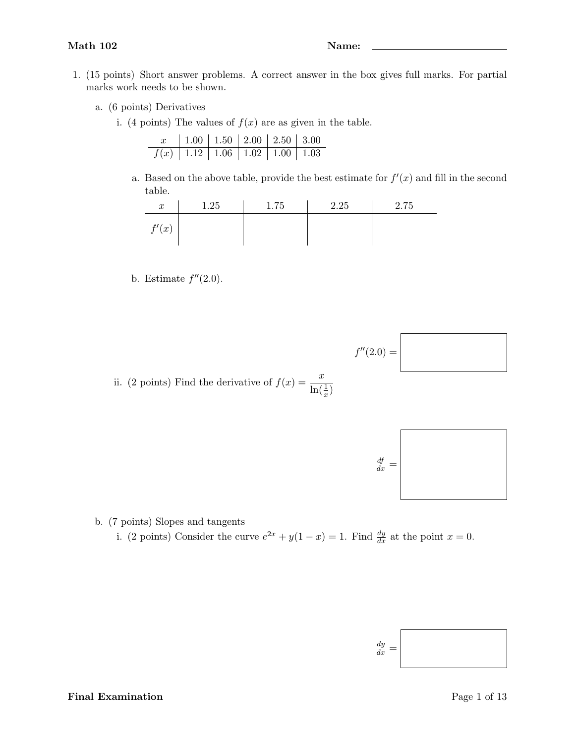- 
- 1. (15 points) Short answer problems. A correct answer in the box gives full marks. For partial marks work needs to be shown.
	- a. (6 points) Derivatives
		- i. (4 points) The values of  $f(x)$  are as given in the table.

|                                           | $x$   1.00   1.50   2.00   2.50   3.00 |  |  |
|-------------------------------------------|----------------------------------------|--|--|
| $f(x)$   1.12   1.06   1.02   1.00   1.03 |                                        |  |  |

a. Based on the above table, provide the best estimate for  $f'(x)$  and fill in the second table.

| $\boldsymbol{x}$ | 1.25 | 1.75 | 2.25 | 2.75 |
|------------------|------|------|------|------|
| f'(x)            |      |      |      |      |

b. Estimate  $f''(2.0)$ .

ii. (2 points) Find the derivative of  $f(x) = \frac{x}{1+x^2}$  $\ln(\frac{1}{x})$ 



 $f''(2.0) =$ 

b. (7 points) Slopes and tangents

i. (2 points) Consider the curve  $e^{2x} + y(1-x) = 1$ . Find  $\frac{dy}{dx}$  at the point  $x = 0$ .

$$
\frac{dy}{dx} = \Bigg|
$$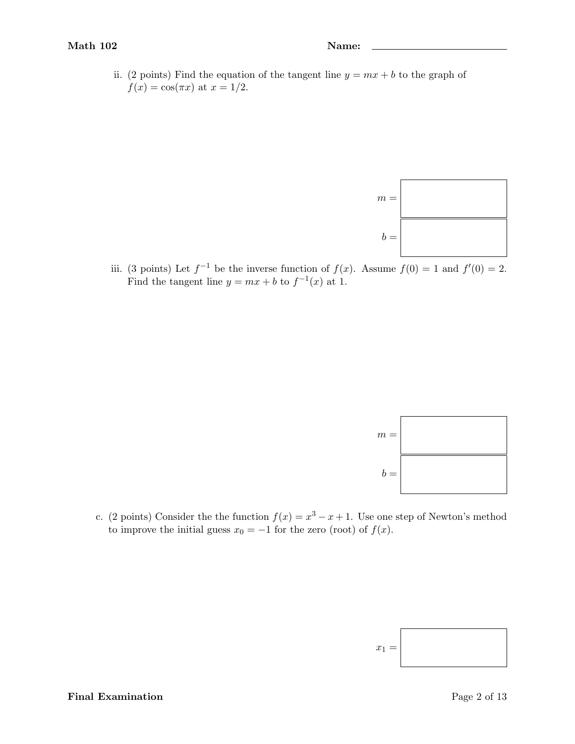ii. (2 points) Find the equation of the tangent line  $y = mx + b$  to the graph of  $f(x) = \cos(\pi x)$  at  $x = 1/2$ .



iii. (3 points) Let  $f^{-1}$  be the inverse function of  $f(x)$ . Assume  $f(0) = 1$  and  $f'(0) = 2$ . Find the tangent line  $y = mx + b$  to  $f^{-1}(x)$  at 1.



c. (2 points) Consider the the function  $f(x) = x^3 - x + 1$ . Use one step of Newton's method to improve the initial guess  $x_0 = -1$  for the zero (root) of  $f(x)$ .

$$
x_1 = \boxed{\phantom{\Big|}}
$$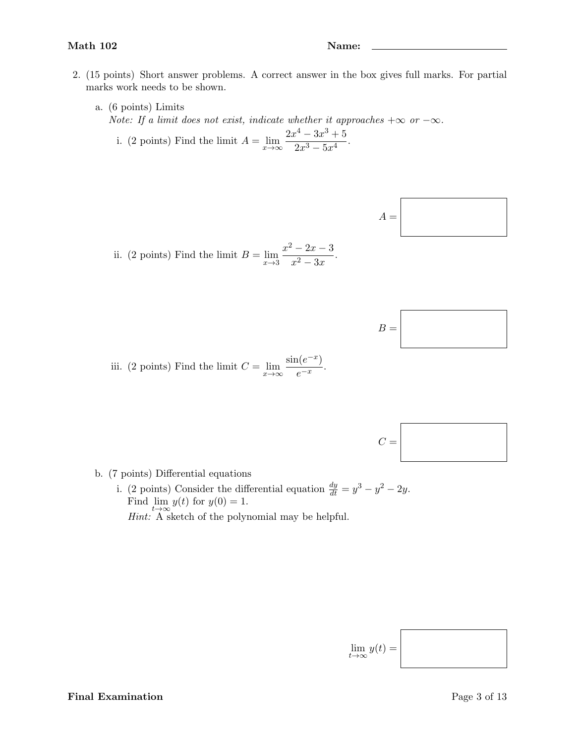- 2. (15 points) Short answer problems. A correct answer in the box gives full marks. For partial marks work needs to be shown.
	- a. (6 points) Limits Note: If a limit does not exist, indicate whether it approaches  $+\infty$  or  $-\infty$ .  $2x^4 - 3x^3 + 5$

i. (2 points) Find the limit 
$$
A = \lim_{x \to \infty} \frac{2x - 6x + 6}{2x^3 - 5x^4}
$$
.



ii. (2 points) Find the limit  $B = \lim_{x \to 3}$  $x^2 - 2x - 3$  $\frac{2x}{x^2-3x}$ .



iii. (2 points) Find the limit  $C = \lim_{x \to \infty} \frac{\sin(e^{-x})}{e^{-x}}$  $\frac{e^{-x}}{e^{-x}}$ .



b. (7 points) Differential equations

i. (2 points) Consider the differential equation  $\frac{dy}{dt} = y^3 - y^2 - 2y$ . Find  $\lim_{t\to\infty} y(t)$  for  $y(0) = 1$ . Hint: A sketch of the polynomial may be helpful.

$$
\lim_{t\to\infty}y(t)=
$$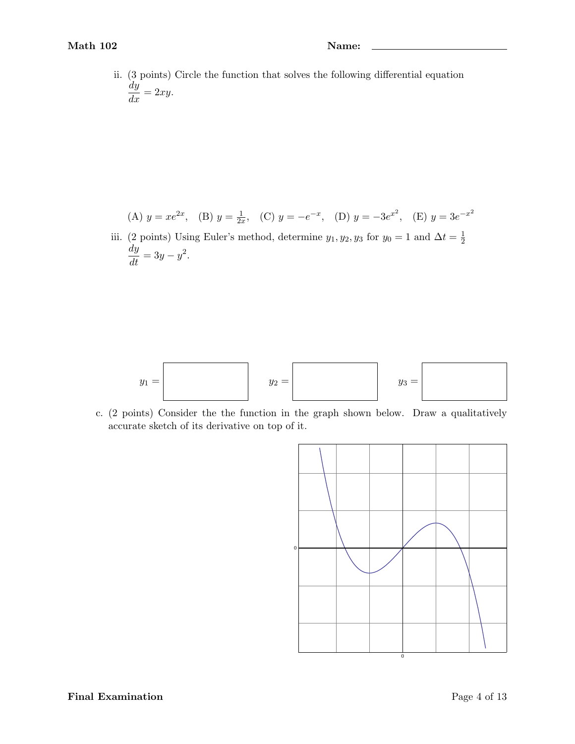ii. (3 points) Circle the function that solves the following differential equation  $\frac{dy}{dx} = 2xy.$ 

(A) 
$$
y = xe^{2x}
$$
, (B)  $y = \frac{1}{2x}$ , (C)  $y = -e^{-x}$ , (D)  $y = -3e^{x^2}$ , (E)  $y = 3e^{-x^2}$ 

iii. (2 points) Using Euler's method, determine  $y_1, y_2, y_3$  for  $y_0 = 1$  and  $\Delta t = \frac{1}{2}$  $\frac{dy}{dt} = 3y - y^2.$ 



c. (2 points) Consider the the function in the graph shown below. Draw a qualitatively accurate sketch of its derivative on top of it.

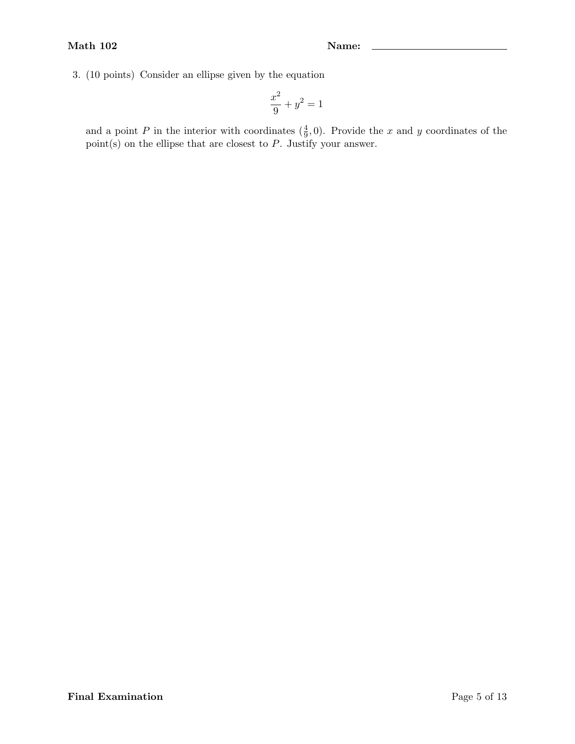3. (10 points) Consider an ellipse given by the equation

$$
\frac{x^2}{9} + y^2 = 1
$$

and a point P in the interior with coordinates  $(\frac{4}{9}, 0)$ . Provide the x and y coordinates of the point(s) on the ellipse that are closest to  $P$ . Justify your answer.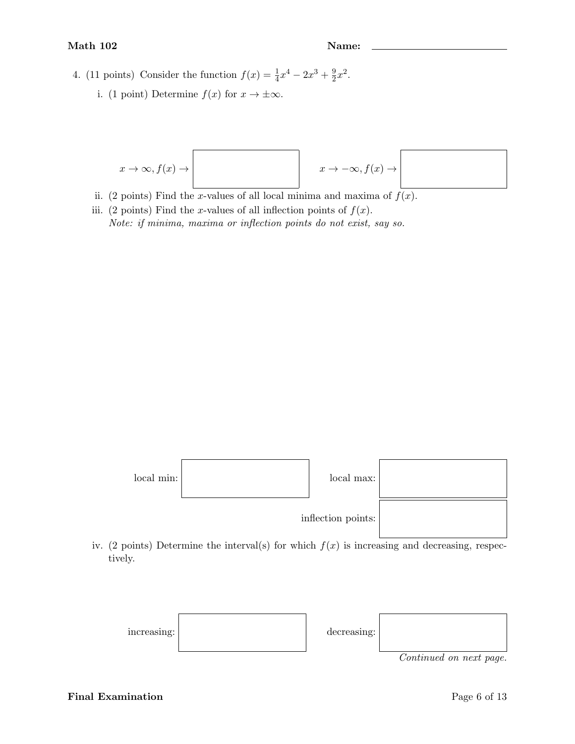- 4. (11 points) Consider the function  $f(x) = \frac{1}{4}x^4 2x^3 + \frac{9}{2}$  $\frac{9}{2}x^2$ .
	- i. (1 point) Determine  $f(x)$  for  $x \to \pm \infty$ .



- ii. (2 points) Find the x-values of all local minima and maxima of  $f(x)$ .
- iii. (2 points) Find the x-values of all inflection points of  $f(x)$ . Note: if minima, maxima or inflection points do not exist, say so.



iv. (2 points) Determine the interval(s) for which  $f(x)$  is increasing and decreasing, respectively.



Final Examination Page 6 of 13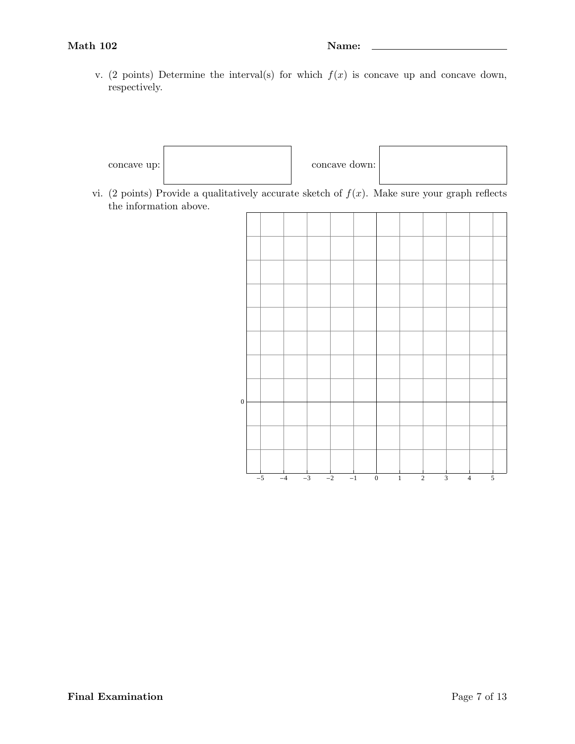v. (2 points) Determine the interval(s) for which  $f(x)$  is concave up and concave down, respectively.



vi. (2 points) Provide a qualitatively accurate sketch of  $f(x)$ . Make sure your graph reflects the information above.

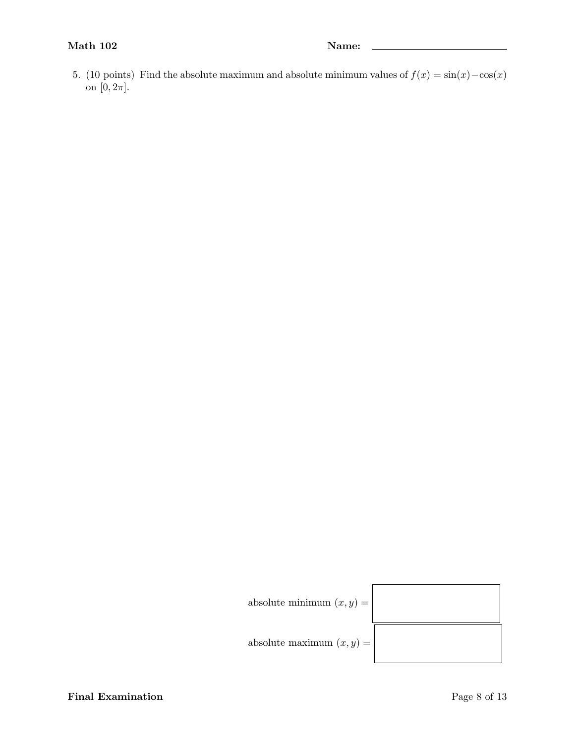5. (10 points) Find the absolute maximum and absolute minimum values of  $f(x) = \sin(x) - \cos(x)$ on  $[0, 2\pi]$ .



absolute maximum  $(x, y) =$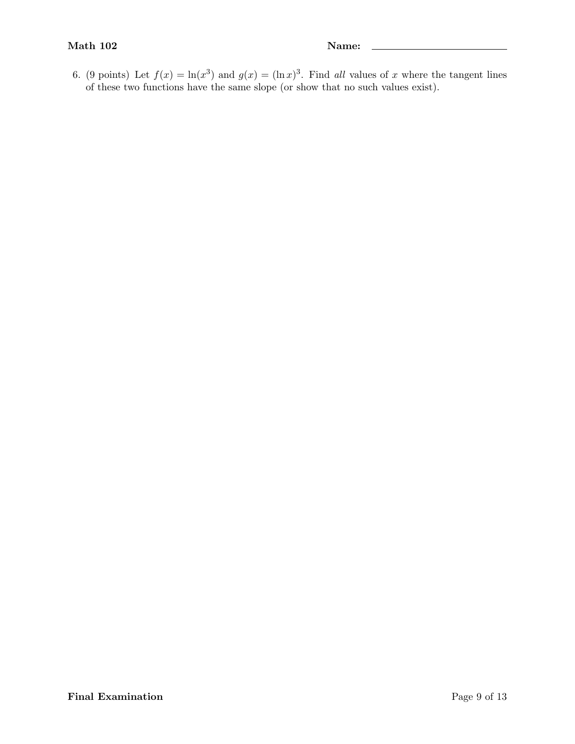6. (9 points) Let  $f(x) = \ln(x^3)$  and  $g(x) = (\ln x)^3$ . Find all values of x where the tangent lines of these two functions have the same slope (or show that no such values exist).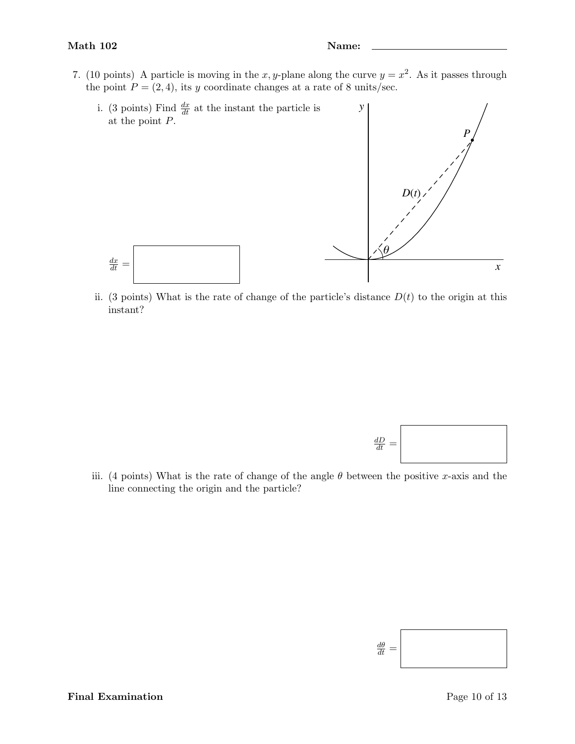7. (10 points) A particle is moving in the x, y-plane along the curve  $y = x^2$ . As it passes through the point  $P = (2, 4)$ , its y coordinate changes at a rate of 8 units/sec.



ii. (3 points) What is the rate of change of the particle's distance  $D(t)$  to the origin at this instant?



iii. (4 points) What is the rate of change of the angle  $\theta$  between the positive x-axis and the line connecting the origin and the particle?

$$
\frac{d\theta}{dt} = \Bigg|
$$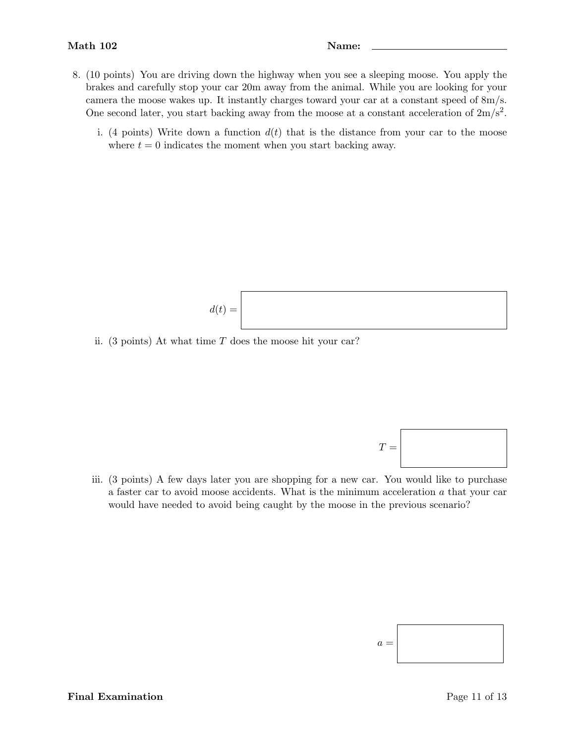- 8. (10 points) You are driving down the highway when you see a sleeping moose. You apply the brakes and carefully stop your car 20m away from the animal. While you are looking for your camera the moose wakes up. It instantly charges toward your car at a constant speed of 8m/s. One second later, you start backing away from the moose at a constant acceleration of  $2m/s^2$ .
	- i. (4 points) Write down a function  $d(t)$  that is the distance from your car to the moose where  $t = 0$  indicates the moment when you start backing away.

$$
d(t) =
$$

ii. (3 points) At what time  $T$  does the moose hit your car?

 $T =$ 

iii. (3 points) A few days later you are shopping for a new car. You would like to purchase a faster car to avoid moose accidents. What is the minimum acceleration  $a$  that your car would have needed to avoid being caught by the moose in the previous scenario?

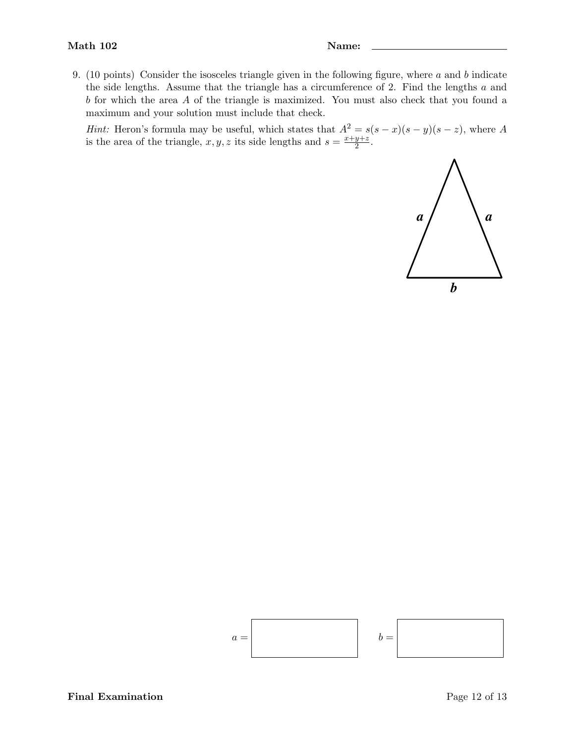9. (10 points) Consider the isosceles triangle given in the following figure, where a and b indicate the side lengths. Assume that the triangle has a circumference of 2. Find the lengths a and b for which the area A of the triangle is maximized. You must also check that you found a maximum and your solution must include that check.

Hint: Heron's formula may be useful, which states that  $A^2 = s(s - x)(s - y)(s - z)$ , where A is the area of the triangle,  $x, y, z$  its side lengths and  $s = \frac{x+y+z}{2}$  $\frac{y+z}{2}$ .